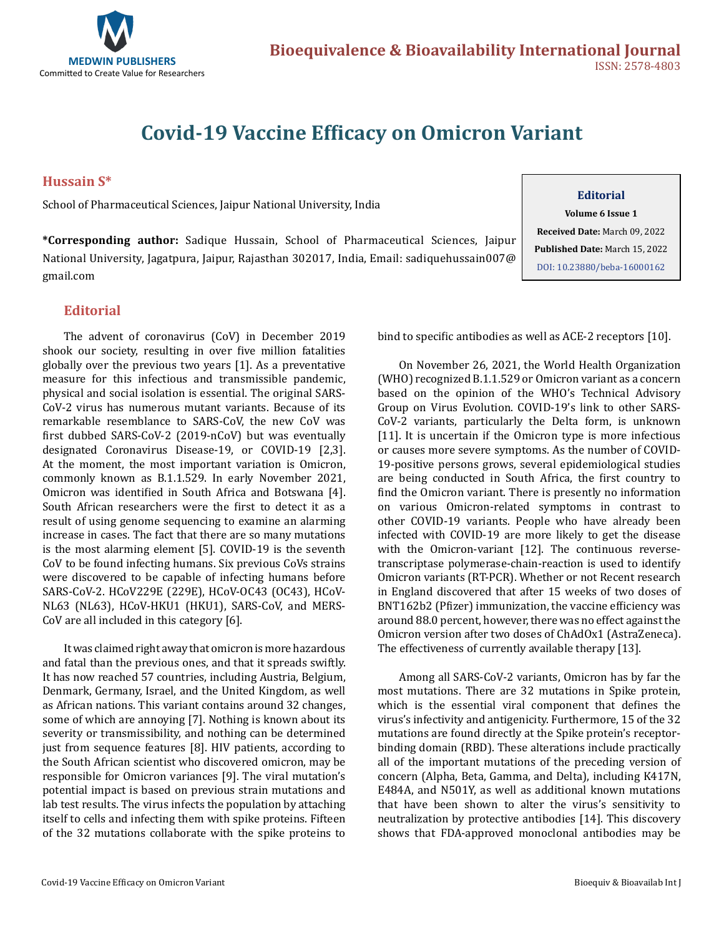

# **Covid-19 Vaccine Efficacy on Omicron Variant**

**Hussain S\*** 

School of Pharmaceutical Sciences, Jaipur National University, India

**\*Corresponding author:** Sadique Hussain, School of Pharmaceutical Sciences, Jaipur National University, Jagatpura, Jaipur, Rajasthan 302017, India, Email: sadiquehussain007@ gmail.com

#### **Editorial**

The advent of coronavirus (CoV) in December 2019 shook our society, resulting in over five million fatalities globally over the previous two years [1]. As a preventative measure for this infectious and transmissible pandemic, physical and social isolation is essential. The original SARS-CoV-2 virus has numerous mutant variants. Because of its remarkable resemblance to SARS-CoV, the new CoV was first dubbed SARS-CoV-2 (2019-nCoV) but was eventually designated Coronavirus Disease-19, or COVID-19 [2,3]. At the moment, the most important variation is Omicron, commonly known as B.1.1.529. In early November 2021, Omicron was identified in South Africa and Botswana [4]. South African researchers were the first to detect it as a result of using genome sequencing to examine an alarming increase in cases. The fact that there are so many mutations is the most alarming element [5]. COVID-19 is the seventh CoV to be found infecting humans. Six previous CoVs strains were discovered to be capable of infecting humans before SARS-CoV-2. HCoV229E (229E), HCoV-OC43 (OC43), HCoV-NL63 (NL63), HCoV-HKU1 (HKU1), SARS-CoV, and MERS-CoV are all included in this category [6].

It was claimed right away that omicron is more hazardous and fatal than the previous ones, and that it spreads swiftly. It has now reached 57 countries, including Austria, Belgium, Denmark, Germany, Israel, and the United Kingdom, as well as African nations. This variant contains around 32 changes, some of which are annoying [7]. Nothing is known about its severity or transmissibility, and nothing can be determined just from sequence features [8]. HIV patients, according to the South African scientist who discovered omicron, may be responsible for Omicron variances [9]. The viral mutation's potential impact is based on previous strain mutations and lab test results. The virus infects the population by attaching itself to cells and infecting them with spike proteins. Fifteen of the 32 mutations collaborate with the spike proteins to

#### **Editorial**

**Volume 6 Issue 1**

**Received Date:** March 09, 2022 **Published Date:** March 15, 2022 [DOI: 10.23880/beba-16000162](https://doi.org/10.23880/beba-16000162)

bind to specific antibodies as well as ACE-2 receptors [10].

On November 26, 2021, the World Health Organization (WHO) recognized B.1.1.529 or Omicron variant as a concern based on the opinion of the WHO's Technical Advisory Group on Virus Evolution. COVID-19's link to other SARS-CoV-2 variants, particularly the Delta form, is unknown [11]. It is uncertain if the Omicron type is more infectious or causes more severe symptoms. As the number of COVID-19-positive persons grows, several epidemiological studies are being conducted in South Africa, the first country to find the Omicron variant. There is presently no information on various Omicron-related symptoms in contrast to other COVID-19 variants. People who have already been infected with COVID-19 are more likely to get the disease with the Omicron-variant [12]. The continuous reversetranscriptase polymerase-chain-reaction is used to identify Omicron variants (RT-PCR). Whether or not Recent research in England discovered that after 15 weeks of two doses of BNT162b2 (Pfizer) immunization, the vaccine efficiency was around 88.0 percent, however, there was no effect against the Omicron version after two doses of ChAdOx1 (AstraZeneca). The effectiveness of currently available therapy [13].

Among all SARS-CoV-2 variants, Omicron has by far the most mutations. There are 32 mutations in Spike protein, which is the essential viral component that defines the virus's infectivity and antigenicity. Furthermore, 15 of the 32 mutations are found directly at the Spike protein's receptorbinding domain (RBD). These alterations include practically all of the important mutations of the preceding version of concern (Alpha, Beta, Gamma, and Delta), including K417N, E484A, and N501Y, as well as additional known mutations that have been shown to alter the virus's sensitivity to neutralization by protective antibodies [14]. This discovery shows that FDA-approved monoclonal antibodies may be